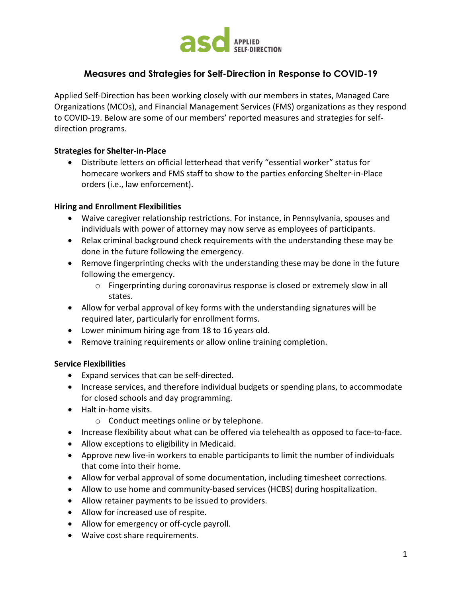

# **Measures and Strategies for Self-Direction in Response to COVID-19**

Applied Self-Direction has been working closely with our members in states, Managed Care Organizations (MCOs), and Financial Management Services (FMS) organizations as they respond to COVID-19. Below are some of our members' reported measures and strategies for selfdirection programs.

#### **Strategies for Shelter-in-Place**

• Distribute letters on official letterhead that verify "essential worker" status for homecare workers and FMS staff to show to the parties enforcing Shelter-in-Place orders (i.e., law enforcement).

#### **Hiring and Enrollment Flexibilities**

- Waive caregiver relationship restrictions. For instance, in Pennsylvania, spouses and individuals with power of attorney may now serve as employees of participants.
- Relax criminal background check requirements with the understanding these may be done in the future following the emergency.
- Remove fingerprinting checks with the understanding these may be done in the future following the emergency.
	- o Fingerprinting during coronavirus response is closed or extremely slow in all states.
- Allow for verbal approval of key forms with the understanding signatures will be required later, particularly for enrollment forms.
- Lower minimum hiring age from 18 to 16 years old.
- Remove training requirements or allow online training completion.

#### **Service Flexibilities**

- Expand services that can be self-directed.
- Increase services, and therefore individual budgets or spending plans, to accommodate for closed schools and day programming.
- Halt in-home visits.
	- o Conduct meetings online or by telephone.
- Increase flexibility about what can be offered via telehealth as opposed to face-to-face.
- Allow exceptions to eligibility in Medicaid.
- Approve new live-in workers to enable participants to limit the number of individuals that come into their home.
- Allow for verbal approval of some documentation, including timesheet corrections.
- Allow to use home and community-based services (HCBS) during hospitalization.
- Allow retainer payments to be issued to providers.
- Allow for increased use of respite.
- Allow for emergency or off-cycle payroll.
- Waive cost share requirements.